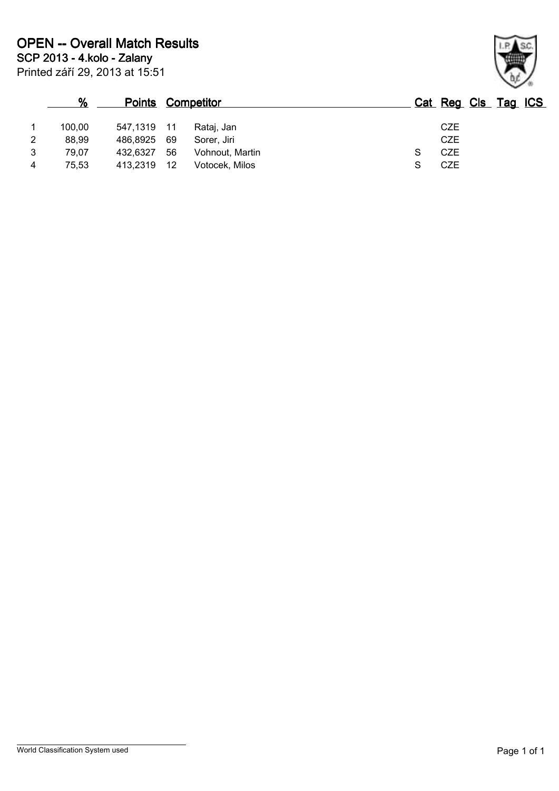|   | $\%$   |             | <b>Points Competitor</b> | Cat Reg Cls Tag ICS |
|---|--------|-------------|--------------------------|---------------------|
|   | 100.00 | 547,1319 11 | Rataj, Jan               | <b>CZE</b>          |
| 2 | 88,99  | 486,8925    | - 69<br>Sorer, Jiri      | <b>CZE</b>          |
| 3 | 79,07  | 432.6327    | 56<br>Vohnout, Martin    | CZE                 |
| 4 | 75,53  | 413,2319    | 12<br>Votocek, Milos     | <b>CZE</b>          |

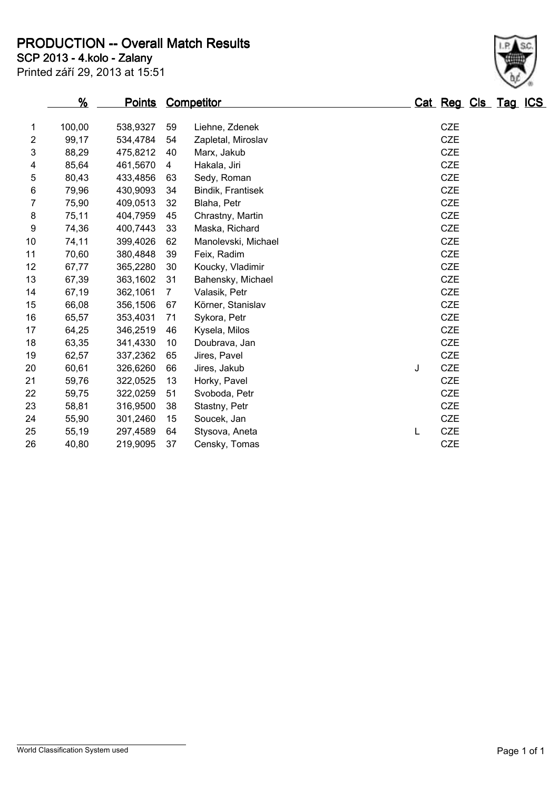**SCP 2013 - 4.kolo - Zalany PRODUCTION -- Overall Match Results**

Printed září 29, 2013 at 15:51

## **% Points Competitor Cat Reg Cls Tag ICS** 100,00 538,9327 59 Liehne, Zdenek CZE 99,17 534,4784 54 Zapletal, Miroslav CZE 88,29 475,8212 40 Marx, Jakub CZE 85,64 461,5670 4 Hakala, Jiri CZE 80,43 433,4856 63 Sedy, Roman CZE 79,96 430,9093 34 Bindik, Frantisek CZE 75,90 409,0513 32 Blaha, Petr CZE 75,11 404,7959 45 Chrastny, Martin CZE 74,36 400,7443 33 Maska, Richard CZE 74,11 399,4026 62 Manolevski, Michael CZE 70,60 380,4848 39 Feix, Radim CZE 67,77 365,2280 30 Koucky, Vladimir CZE 67,39 363,1602 31 Bahensky, Michael CZE 67,19 362,1061 7 Valasik, Petr CZE 66,08 356,1506 67 Körner, Stanislav CZE 65,57 353,4031 71 Sykora, Petr CZE 64,25 346,2519 46 Kysela, Milos CZE 63,35 341,4330 10 Doubrava, Jan CZE 62,57 337,2362 65 Jires, Pavel CZE 60,61 326,6260 66 Jires, Jakub J CZE

 59,76 322,0525 13 Horky, Pavel CZE 59,75 322,0259 51 Svoboda, Petr CZE 58,81 316,9500 38 Stastny, Petr CZE 55,90 301,2460 15 Soucek, Jan CZE 55,19 297,4589 64 Stysova, Aneta L CZE 40,80 219,9095 37 Censky, Tomas CZE

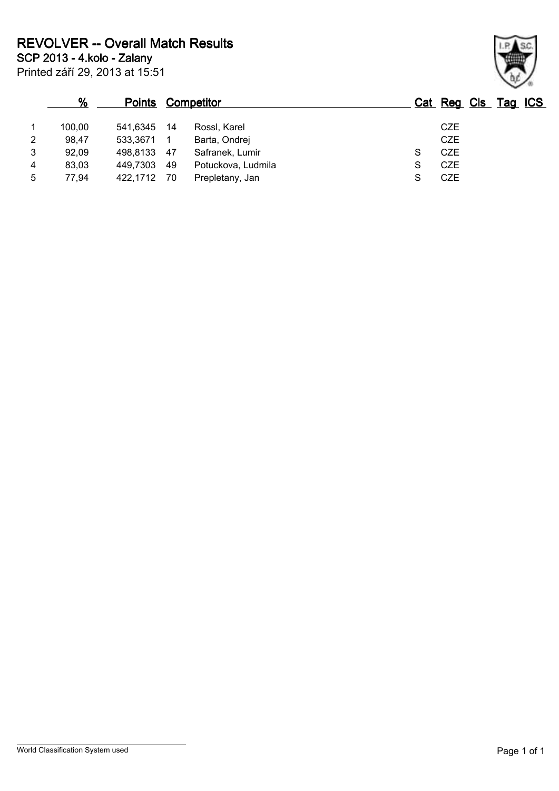| %              |        |             | <b>Points Competitor</b> |                    |   |            | Cat Reg Cls Tag ICS |
|----------------|--------|-------------|--------------------------|--------------------|---|------------|---------------------|
|                | 100,00 | 541.6345    | -14                      | Rossl, Karel       |   | <b>CZE</b> |                     |
| $\overline{2}$ | 98,47  | 533,3671    |                          | Barta, Ondrej      |   | CZE        |                     |
| 3              | 92,09  | 498,8133 47 |                          | Safranek, Lumir    | S | CZE        |                     |
| 4              | 83,03  | 449.7303 49 |                          | Potuckova, Ludmila | S | <b>CZE</b> |                     |
| 5              | 77,94  | 422,1712 70 |                          | Prepletany, Jan    |   | <b>CZE</b> |                     |

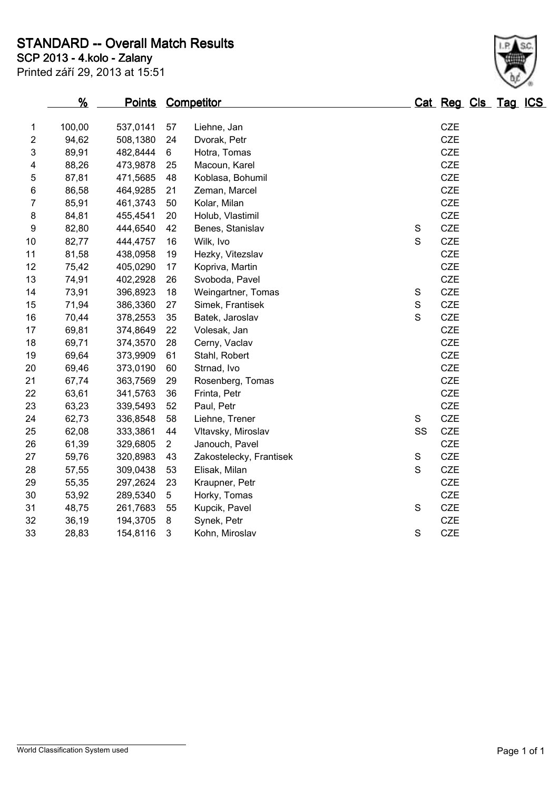**STANDARD -- Overall Match Results**

**SCP 2013 - 4.kolo - Zalany**

| Printed září 29, 2013 at 15:51 |  |  |  |  |
|--------------------------------|--|--|--|--|
|--------------------------------|--|--|--|--|

|                | <u>%</u> |          |                | <b>Points Competitor</b> |              | Cat Reg Cls Tag ICS |  |
|----------------|----------|----------|----------------|--------------------------|--------------|---------------------|--|
| $\mathbf{1}$   | 100,00   | 537,0141 | 57             | Liehne, Jan              |              | CZE                 |  |
| $\overline{2}$ | 94,62    | 508,1380 | 24             | Dvorak, Petr             |              | <b>CZE</b>          |  |
| 3              | 89,91    | 482,8444 | 6              | Hotra, Tomas             |              | <b>CZE</b>          |  |
| 4              | 88,26    | 473,9878 | 25             | Macoun, Karel            |              | CZE                 |  |
| 5              | 87,81    | 471,5685 | 48             | Koblasa, Bohumil         |              | <b>CZE</b>          |  |
| 6              | 86,58    | 464,9285 | 21             | Zeman, Marcel            |              | <b>CZE</b>          |  |
| 7              | 85,91    | 461,3743 | 50             | Kolar, Milan             |              | <b>CZE</b>          |  |
| 8              | 84,81    | 455,4541 | 20             | Holub, Vlastimil         |              | <b>CZE</b>          |  |
| 9              | 82,80    | 444,6540 | 42             | Benes, Stanislav         | $\mathbb S$  | <b>CZE</b>          |  |
| 10             | 82,77    | 444,4757 | 16             | Wilk, Ivo                | $\mathsf{S}$ | <b>CZE</b>          |  |
| 11             | 81,58    | 438,0958 | 19             | Hezky, Vitezslav         |              | <b>CZE</b>          |  |
| 12             | 75,42    | 405,0290 | 17             | Kopriva, Martin          |              | CZE                 |  |
| 13             | 74,91    | 402,2928 | 26             | Svoboda, Pavel           |              | <b>CZE</b>          |  |
| 14             | 73,91    | 396,8923 | 18             | Weingartner, Tomas       | $\mathbb S$  | <b>CZE</b>          |  |
| 15             | 71,94    | 386,3360 | 27             | Simek, Frantisek         | $\mathbb S$  | <b>CZE</b>          |  |
| 16             | 70,44    | 378,2553 | 35             | Batek, Jaroslav          | S            | <b>CZE</b>          |  |
| 17             | 69,81    | 374,8649 | 22             | Volesak, Jan             |              | <b>CZE</b>          |  |
| 18             | 69,71    | 374,3570 | 28             | Cerny, Vaclav            |              | <b>CZE</b>          |  |
| 19             | 69,64    | 373,9909 | 61             | Stahl, Robert            |              | <b>CZE</b>          |  |
| 20             | 69,46    | 373,0190 | 60             | Strnad, Ivo              |              | <b>CZE</b>          |  |
| 21             | 67,74    | 363,7569 | 29             | Rosenberg, Tomas         |              | <b>CZE</b>          |  |
| 22             | 63,61    | 341,5763 | 36             | Frinta, Petr             |              | <b>CZE</b>          |  |
| 23             | 63,23    | 339,5493 | 52             | Paul, Petr               |              | <b>CZE</b>          |  |
| 24             | 62,73    | 336,8548 | 58             | Liehne, Trener           | S            | <b>CZE</b>          |  |
| 25             | 62,08    | 333,3861 | 44             | Vltavsky, Miroslav       | SS           | <b>CZE</b>          |  |
| 26             | 61,39    | 329,6805 | $\overline{2}$ | Janouch, Pavel           |              | <b>CZE</b>          |  |
| 27             | 59,76    | 320,8983 | 43             | Zakostelecky, Frantisek  | $\mathbb S$  | <b>CZE</b>          |  |
| 28             | 57,55    | 309,0438 | 53             | Elisak, Milan            | $\mathbf S$  | <b>CZE</b>          |  |
| 29             | 55,35    | 297,2624 | 23             | Kraupner, Petr           |              | <b>CZE</b>          |  |
| 30             | 53,92    | 289,5340 | 5              | Horky, Tomas             |              | <b>CZE</b>          |  |
| 31             | 48,75    | 261,7683 | 55             | Kupcik, Pavel            | $\mathbf S$  | <b>CZE</b>          |  |
| 32             | 36,19    | 194,3705 | 8              | Synek, Petr              |              | <b>CZE</b>          |  |
| 33             | 28,83    | 154,8116 | 3              | Kohn, Miroslav           | S            | <b>CZE</b>          |  |
|                |          |          |                |                          |              |                     |  |